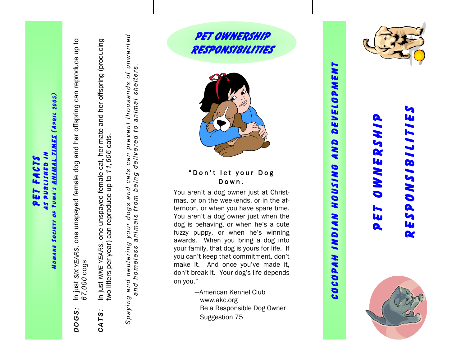HUMANE SOCIETY OF VUMA'S ANIMAL TIMES (APRIL 2005) **MI DASTISHED IN** FACTS PET

- *D O G S:* In just *SIX YEARS*, one unspayed female dog and her offspring can reproduce up to In just SIX YEARS, one unspayed female dog and her offspring can reproduce up to 67,000 dogs. DOGS:
- *C A T S:* In just *NINE YEARS*, one unspayed female cat, her mate and her offspring (producing one unspayed female cat, her mate and her offspring (producing In just MME YEARS, one unspayed female cat, her ma<br>two litters per year) can reproduce up to 11,606 cats. two litters per year) can reproduce up to *11,606* cats. CATS:

Spaying and neutering your dogs and cats can prevent thousands of unwanted r your dogs and cats can prevent thousands of unwanted<br>animals from being delivered to animal shelters. and homeless animals from being dered to animal shelters. Spaying and neutering<br>and homeless a





## " Don't let your Dog D o w n .

You aren't a dog owner just at Christmas, or on the weekends, or in the afternoon, or when you have spare time. You aren't a dog owner just when the dog is behaving, or when he's a cute fuzzy puppy, or when he's winning awards. When you bring a dog into your family, that dog is yours for life. If you can't keep that commitment, don't make it. And once you've made it, don't break it. Your dog's life depends on you."—American Kennel Club

www.akc.org Be a Responsible Dog Owner Suggestion 75



DEVELOPMENT

aND

HOUSING

NDIAN

COCOPAH

## ESPONSIBILITIES K

WNERSH

 $\bullet$ 

N

W R